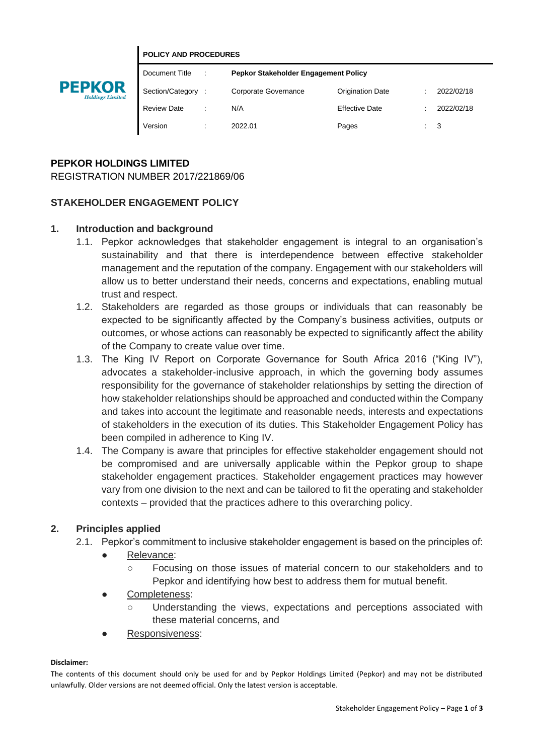#### **POLICY AND PROCEDURES**



| Document Title     |   | Pepkor Stakeholder Engagement Policy |                         |  |                |
|--------------------|---|--------------------------------------|-------------------------|--|----------------|
| Section/Category   |   | Corporate Governance                 | <b>Origination Date</b> |  | 2022/02/18     |
| <b>Review Date</b> |   | N/A                                  | <b>Effective Date</b>   |  | 2022/02/18     |
| Version            | ٠ | 2022.01                              | Pages                   |  | $\therefore$ 3 |

## **PEPKOR HOLDINGS LIMITED**

REGISTRATION NUMBER 2017/221869/06

### **STAKEHOLDER ENGAGEMENT POLICY**

### **1. Introduction and background**

- 1.1. Pepkor acknowledges that stakeholder engagement is integral to an organisation's sustainability and that there is interdependence between effective stakeholder management and the reputation of the company. Engagement with our stakeholders will allow us to better understand their needs, concerns and expectations, enabling mutual trust and respect.
- 1.2. Stakeholders are regarded as those groups or individuals that can reasonably be expected to be significantly affected by the Company's business activities, outputs or outcomes, or whose actions can reasonably be expected to significantly affect the ability of the Company to create value over time.
- 1.3. The King IV Report on Corporate Governance for South Africa 2016 ("King IV"), advocates a stakeholder-inclusive approach, in which the governing body assumes responsibility for the governance of stakeholder relationships by setting the direction of how stakeholder relationships should be approached and conducted within the Company and takes into account the legitimate and reasonable needs, interests and expectations of stakeholders in the execution of its duties. This Stakeholder Engagement Policy has been compiled in adherence to King IV.
- 1.4. The Company is aware that principles for effective stakeholder engagement should not be compromised and are universally applicable within the Pepkor group to shape stakeholder engagement practices. Stakeholder engagement practices may however vary from one division to the next and can be tailored to fit the operating and stakeholder contexts – provided that the practices adhere to this overarching policy.

### **2. Principles applied**

- 2.1. Pepkor's commitment to inclusive stakeholder engagement is based on the principles of:
	- Relevance:
		- Focusing on those issues of material concern to our stakeholders and to Pepkor and identifying how best to address them for mutual benefit.
	- Completeness:
		- Understanding the views, expectations and perceptions associated with these material concerns, and
	- Responsiveness:

#### **Disclaimer:**

The contents of this document should only be used for and by Pepkor Holdings Limited (Pepkor) and may not be distributed unlawfully. Older versions are not deemed official. Only the latest version is acceptable.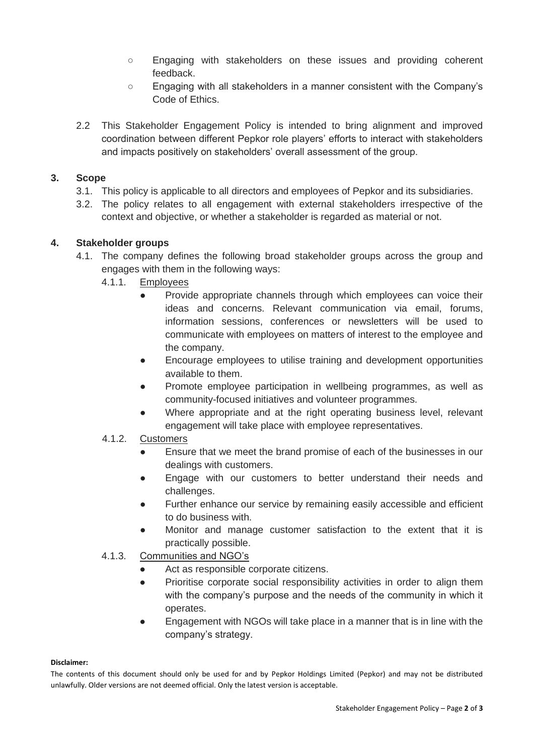- Engaging with stakeholders on these issues and providing coherent feedback.
- Engaging with all stakeholders in a manner consistent with the Company's Code of Ethics.
- 2.2 This Stakeholder Engagement Policy is intended to bring alignment and improved coordination between different Pepkor role players' efforts to interact with stakeholders and impacts positively on stakeholders' overall assessment of the group.

## **3. Scope**

- 3.1. This policy is applicable to all directors and employees of Pepkor and its subsidiaries.
- 3.2. The policy relates to all engagement with external stakeholders irrespective of the context and objective, or whether a stakeholder is regarded as material or not.

## **4. Stakeholder groups**

- 4.1. The company defines the following broad stakeholder groups across the group and engages with them in the following ways:
	- 4.1.1. Employees
		- Provide appropriate channels through which employees can voice their ideas and concerns. Relevant communication via email, forums, information sessions, conferences or newsletters will be used to communicate with employees on matters of interest to the employee and the company.
		- Encourage employees to utilise training and development opportunities available to them.
		- Promote employee participation in wellbeing programmes, as well as community-focused initiatives and volunteer programmes.
		- Where appropriate and at the right operating business level, relevant engagement will take place with employee representatives.

# 4.1.2. Customers

- Ensure that we meet the brand promise of each of the businesses in our dealings with customers.
- Engage with our customers to better understand their needs and challenges.
- Further enhance our service by remaining easily accessible and efficient to do business with.
- Monitor and manage customer satisfaction to the extent that it is practically possible.

### 4.1.3. Communities and NGO's

- Act as responsible corporate citizens.
- Prioritise corporate social responsibility activities in order to align them with the company's purpose and the needs of the community in which it operates.
- Engagement with NGOs will take place in a manner that is in line with the company's strategy.

#### **Disclaimer:**

The contents of this document should only be used for and by Pepkor Holdings Limited (Pepkor) and may not be distributed unlawfully. Older versions are not deemed official. Only the latest version is acceptable.